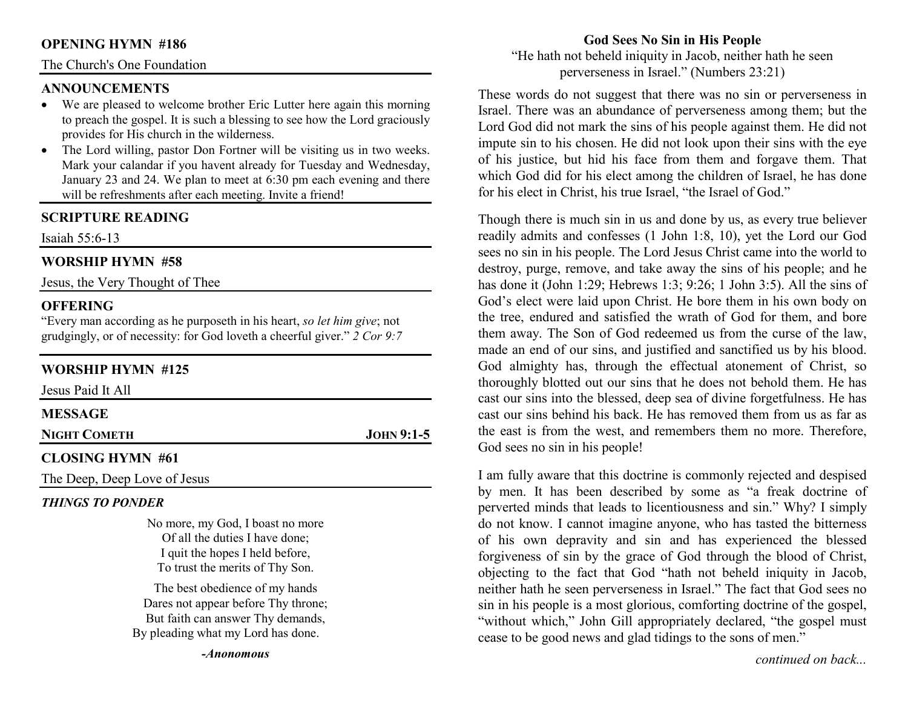### **OPENING HYMN #186**

#### The Church's One Foundation

#### **ANNOUNCEMENTS**

- We are pleased to welcome brother Eric Lutter here again this morning •to preach the gospel. It is such a blessing to see how the Lord graciously provides for His church in the wilderness.
- The Lord willing, pastor Don Fortner will be visiting us in two weeks. •Mark your calandar if you havent already for Tuesday and Wednesday, January 23 and 24. We plan to meet at 6:30 pm each evening and there will be refreshments after each meeting. Invite a friend!

### **SCRIPTURE READING**

Isaiah 55:6-13

#### **WORSHIP HYMN #58**

Jesus, the Very Thought of Thee

### **OFFERING**

 "Every man according as he purposeth in his heart, *so let him give*; not grudgingly, or of necessity: for God loveth a cheerful giver." *2 Cor 9:7*

### **WORSHIP HYMN #125**

| Jesus Paid It All            |              |
|------------------------------|--------------|
| <b>MESSAGE</b>               |              |
| <b>NIGHT COMETH</b>          | $JOHN 9:1-5$ |
| <b>CLOSING HYMN #61</b>      |              |
| The Deep, Deep Love of Jesus |              |

## *THINGS TO PONDER*

No more, my God, I boast no more Of all the duties I have done; I quit the hopes I held before, To trust the merits of Thy Son.

The best obedience of my hands Dares not appear before Thy throne; But faith can answer Thy demands, By pleading what my Lord has done.

### **God Sees No Sin in His People**

 "He hath not beheld iniquity in Jacob, neither hath he seen perverseness in Israel." (Numbers 23:21)

These words do not suggest that there was no sin or perverseness in Israel. There was an abundance of perverseness among them; but the Lord God did not mark the sins of his people against them. He did not impute sin to his chosen. He did not look upon their sins with the eye of his justice, but hid his face from them and forgave them. That which God did for his elect among the children of Israel, he has done for his elect in Christ, his true Israel, "the Israel of God."

Though there is much sin in us and done by us, as every true believer readily admits and confesses (1 John 1:8, 10), yet the Lord our God sees no sin in his people. The Lord Jesus Christ came into the world to destroy, purge, remove, and take away the sins of his people; and he has done it (John 1:29; Hebrews 1:3; 9:26; 1 John 3:5). All the sins of God's elect were laid upon Christ. He bore them in his own body on the tree, endured and satisfied the wrath of God for them, and bore them away. The Son of God redeemed us from the curse of the law, made an end of our sins, and justified and sanctified us by his blood. God almighty has, through the effectual atonement of Christ, so thoroughly blotted out our sins that he does not behold them. He has cast our sins into the blessed, deep sea of divine forgetfulness. He has cast our sins behind his back. He has removed them from us as far as the east is from the west, and remembers them no more. Therefore, God sees no sin in his people!

I am fully aware that this doctrine is commonly rejected and despised by men. It has been described by some as "a freak doctrine of perverted minds that leads to licentiousness and sin." Why? I simply do not know. I cannot imagine anyone, who has tasted the bitterness of his own depravity and sin and has experienced the blessed forgiveness of sin by the grace of God through the blood of Christ, objecting to the fact that God "hath not beheld iniquity in Jacob, neither hath he seen perverseness in Israel." The fact that God sees no sin in his people is a most glorious, comforting doctrine of the gospel, "without which," John Gill appropriately declared, "the gospel must cease to be good news and glad tidings to the sons of men."

*continued on back...*